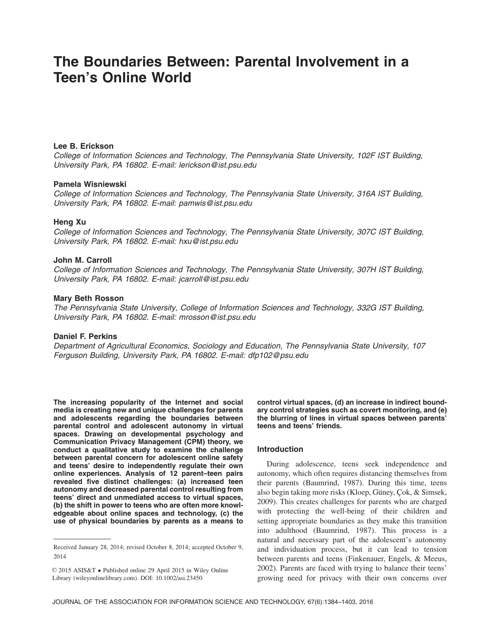# **The Boundaries Between: Parental Involvement in a Teen's Online World**

# **Lee B. Erickson**

*College of Information Sciences and Technology, The Pennsylvania State University, 102F IST Building, University Park, PA 16802. E-mail: lerickson@ist.psu.edu*

## **Pamela Wisniewski**

*College of Information Sciences and Technology, The Pennsylvania State University, 316A IST Building, University Park, PA 16802. E-mail: pamwis@ist.psu.edu*

## **Heng Xu**

*College of Information Sciences and Technology, The Pennsylvania State University, 307C IST Building, University Park, PA 16802. E-mail: hxu@ist.psu.edu*

## **John M. Carroll**

*College of Information Sciences and Technology, The Pennsylvania State University, 307H IST Building, University Park, PA 16802. E-mail: jcarroll@ist.psu.edu*

# **Mary Beth Rosson**

*The Pennsylvania State University, College of Information Sciences and Technology, 332G IST Building, University Park, PA 16802. E-mail: mrosson@ist.psu.edu*

## **Daniel F. Perkins**

*Department of Agricultural Economics, Sociology and Education, The Pennsylvania State University, 107 Ferguson Building, University Park, PA 16802. E-mail: dfp102@psu.edu*

**The increasing popularity of the Internet and social media is creating new and unique challenges for parents and adolescents regarding the boundaries between parental control and adolescent autonomy in virtual spaces. Drawing on developmental psychology and Communication Privacy Management (CPM) theory, we conduct a qualitative study to examine the challenge between parental concern for adolescent online safety and teens' desire to independently regulate their own online experiences. Analysis of 12 parent–teen pairs revealed five distinct challenges: (a) increased teen autonomy and decreased parental control resulting from teens' direct and unmediated access to virtual spaces, (b) the shift in power to teens who are often more knowledgeable about online spaces and technology, (c) the use of physical boundaries by parents as a means to** **control virtual spaces, (d) an increase in indirect boundary control strategies such as covert monitoring, and (e) the blurring of lines in virtual spaces between parents' teens and teens' friends.**

#### **Introduction**

During adolescence, teens seek independence and autonomy, which often requires distancing themselves from their parents (Baumrind, 1987). During this time, teens also begin taking more risks (Kloep, Güney, Çok, & Simsek, 2009). This creates challenges for parents who are charged with protecting the well-being of their children and setting appropriate boundaries as they make this transition into adulthood (Baumrind, 1987). This process is a natural and necessary part of the adolescent's autonomy and individuation process, but it can lead to tension between parents and teens (Finkenauer, Engels, & Meeus, 2002). Parents are faced with trying to balance their teens' growing need for privacy with their own concerns over

Received January 28, 2014; revised October 8, 2014; accepted October 9, 2014

<sup>© 2015</sup> ASIS&T • Published online 29 April 2015 in Wiley Online (wileyonlinelibrary.com). DOI: 10.1002/asi.23450 Library (wileyonlinelibrary.com). DOI: 10.1002/asi.23450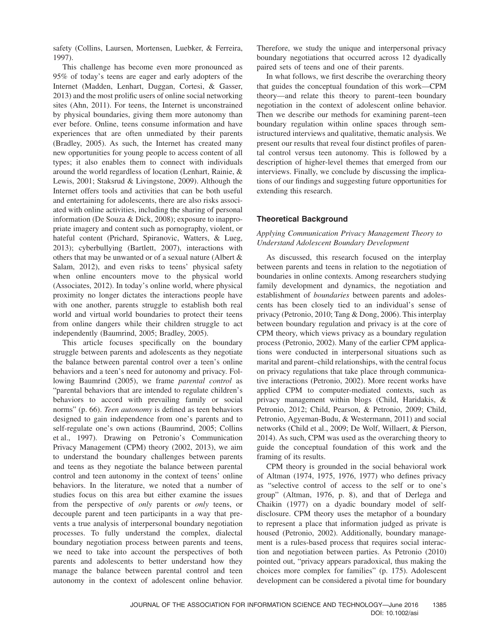safety (Collins, Laursen, Mortensen, Luebker, & Ferreira, 1997).

This challenge has become even more pronounced as 95% of today's teens are eager and early adopters of the Internet (Madden, Lenhart, Duggan, Cortesi, & Gasser, 2013) and the most prolific users of online social networking sites (Ahn, 2011). For teens, the Internet is unconstrained by physical boundaries, giving them more autonomy than ever before. Online, teens consume information and have experiences that are often unmediated by their parents (Bradley, 2005). As such, the Internet has created many new opportunities for young people to access content of all types; it also enables them to connect with individuals around the world regardless of location (Lenhart, Rainie, & Lewis, 2001; Staksrud & Livingstone, 2009). Although the Internet offers tools and activities that can be both useful and entertaining for adolescents, there are also risks associated with online activities, including the sharing of personal information (De Souza & Dick, 2008); exposure to inappropriate imagery and content such as pornography, violent, or hateful content (Prichard, Spiranovic, Watters, & Lueg, 2013); cyberbullying (Bartlett, 2007), interactions with others that may be unwanted or of a sexual nature (Albert & Salam, 2012), and even risks to teens' physical safety when online encounters move to the physical world (Associates, 2012). In today's online world, where physical proximity no longer dictates the interactions people have with one another, parents struggle to establish both real world and virtual world boundaries to protect their teens from online dangers while their children struggle to act independently (Baumrind, 2005; Bradley, 2005).

This article focuses specifically on the boundary struggle between parents and adolescents as they negotiate the balance between parental control over a teen's online behaviors and a teen's need for autonomy and privacy. Following Baumrind (2005), we frame *parental control* as "parental behaviors that are intended to regulate children's behaviors to accord with prevailing family or social norms" (p. 66). *Teen autonomy* is defined as teen behaviors designed to gain independence from one's parents and to self-regulate one's own actions (Baumrind, 2005; Collins et al., 1997). Drawing on Petronio's Communication Privacy Management (CPM) theory (2002, 2013), we aim to understand the boundary challenges between parents and teens as they negotiate the balance between parental control and teen autonomy in the context of teens' online behaviors. In the literature, we noted that a number of studies focus on this area but either examine the issues from the perspective of *only* parents or *only* teens, or decouple parent and teen participants in a way that prevents a true analysis of interpersonal boundary negotiation processes. To fully understand the complex, dialectal boundary negotiation process between parents and teens, we need to take into account the perspectives of both parents and adolescents to better understand how they manage the balance between parental control and teen autonomy in the context of adolescent online behavior. Therefore, we study the unique and interpersonal privacy boundary negotiations that occurred across 12 dyadically paired sets of teens and one of their parents.

In what follows, we first describe the overarching theory that guides the conceptual foundation of this work—CPM theory—and relate this theory to parent–teen boundary negotiation in the context of adolescent online behavior. Then we describe our methods for examining parent–teen boundary regulation within online spaces through semistructured interviews and qualitative, thematic analysis. We present our results that reveal four distinct profiles of parental control versus teen autonomy. This is followed by a description of higher-level themes that emerged from our interviews. Finally, we conclude by discussing the implications of our findings and suggesting future opportunities for extending this research.

# **Theoretical Background**

## *Applying Communication Privacy Management Theory to Understand Adolescent Boundary Development*

As discussed, this research focused on the interplay between parents and teens in relation to the negotiation of boundaries in online contexts. Among researchers studying family development and dynamics, the negotiation and establishment of *boundaries* between parents and adolescents has been closely tied to an individual's sense of privacy (Petronio, 2010; Tang & Dong, 2006). This interplay between boundary regulation and privacy is at the core of CPM theory, which views privacy as a boundary regulation process (Petronio, 2002). Many of the earlier CPM applications were conducted in interpersonal situations such as marital and parent–child relationships, with the central focus on privacy regulations that take place through communicative interactions (Petronio, 2002). More recent works have applied CPM to computer-mediated contexts, such as privacy management within blogs (Child, Haridakis, & Petronio, 2012; Child, Pearson, & Petronio, 2009; Child, Petronio, Agyeman-Budu, & Westermann, 2011) and social networks (Child et al., 2009; De Wolf, Willaert, & Pierson, 2014). As such, CPM was used as the overarching theory to guide the conceptual foundation of this work and the framing of its results.

CPM theory is grounded in the social behavioral work of Altman (1974, 1975, 1976, 1977) who defines privacy as "selective control of access to the self or to one's group" (Altman, 1976, p. 8), and that of Derlega and Chaikin (1977) on a dyadic boundary model of selfdisclosure. CPM theory uses the metaphor of a boundary to represent a place that information judged as private is housed (Petronio, 2002). Additionally, boundary management is a rules-based process that requires social interaction and negotiation between parties. As Petronio (2010) pointed out, "privacy appears paradoxical, thus making the choices more complex for families" (p. 175). Adolescent development can be considered a pivotal time for boundary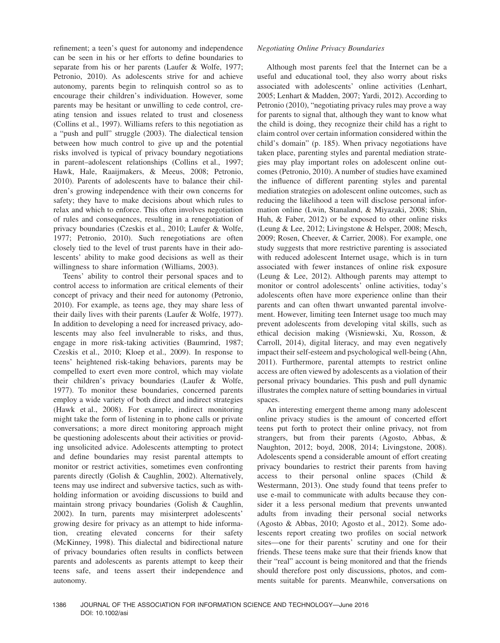refinement; a teen's quest for autonomy and independence can be seen in his or her efforts to define boundaries to separate from his or her parents (Laufer & Wolfe, 1977; Petronio, 2010). As adolescents strive for and achieve autonomy, parents begin to relinquish control so as to encourage their children's individuation. However, some parents may be hesitant or unwilling to cede control, creating tension and issues related to trust and closeness (Collins et al., 1997). Williams refers to this negotiation as a "push and pull" struggle (2003). The dialectical tension between how much control to give up and the potential risks involved is typical of privacy boundary negotiations in parent–adolescent relationships (Collins et al., 1997; Hawk, Hale, Raaijmakers, & Meeus, 2008; Petronio, 2010). Parents of adolescents have to balance their children's growing independence with their own concerns for safety; they have to make decisions about which rules to relax and which to enforce. This often involves negotiation of rules and consequences, resulting in a renegotiation of privacy boundaries (Czeskis et al., 2010; Laufer & Wolfe, 1977; Petronio, 2010). Such renegotiations are often closely tied to the level of trust parents have in their adolescents' ability to make good decisions as well as their willingness to share information (Williams, 2003).

Teens' ability to control their personal spaces and to control access to information are critical elements of their concept of privacy and their need for autonomy (Petronio, 2010). For example, as teens age, they may share less of their daily lives with their parents (Laufer & Wolfe, 1977). In addition to developing a need for increased privacy, adolescents may also feel invulnerable to risks, and thus, engage in more risk-taking activities (Baumrind, 1987; Czeskis et al., 2010; Kloep et al., 2009). In response to teens' heightened risk-taking behaviors, parents may be compelled to exert even more control, which may violate their children's privacy boundaries (Laufer & Wolfe, 1977). To monitor these boundaries, concerned parents employ a wide variety of both direct and indirect strategies (Hawk et al., 2008). For example, indirect monitoring might take the form of listening in to phone calls or private conversations; a more direct monitoring approach might be questioning adolescents about their activities or providing unsolicited advice. Adolescents attempting to protect and define boundaries may resist parental attempts to monitor or restrict activities, sometimes even confronting parents directly (Golish & Caughlin, 2002). Alternatively, teens may use indirect and subversive tactics, such as withholding information or avoiding discussions to build and maintain strong privacy boundaries (Golish & Caughlin, 2002). In turn, parents may misinterpret adolescents' growing desire for privacy as an attempt to hide information, creating elevated concerns for their safety (McKinney, 1998). This dialectal and bidirectional nature of privacy boundaries often results in conflicts between parents and adolescents as parents attempt to keep their teens safe, and teens assert their independence and autonomy.

## *Negotiating Online Privacy Boundaries*

Although most parents feel that the Internet can be a useful and educational tool, they also worry about risks associated with adolescents' online activities (Lenhart, 2005; Lenhart & Madden, 2007; Yardi, 2012). According to Petronio (2010), "negotiating privacy rules may prove a way for parents to signal that, although they want to know what the child is doing, they recognize their child has a right to claim control over certain information considered within the child's domain" (p. 185). When privacy negotiations have taken place, parenting styles and parental mediation strategies may play important roles on adolescent online outcomes (Petronio, 2010). A number of studies have examined the influence of different parenting styles and parental mediation strategies on adolescent online outcomes, such as reducing the likelihood a teen will disclose personal information online (Lwin, Stanaland, & Miyazaki, 2008; Shin, Huh, & Faber, 2012) or be exposed to other online risks (Leung & Lee, 2012; Livingstone & Helsper, 2008; Mesch, 2009; Rosen, Cheever, & Carrier, 2008). For example, one study suggests that more restrictive parenting is associated with reduced adolescent Internet usage, which is in turn associated with fewer instances of online risk exposure (Leung & Lee, 2012). Although parents may attempt to monitor or control adolescents' online activities, today's adolescents often have more experience online than their parents and can often thwart unwanted parental involvement. However, limiting teen Internet usage too much may prevent adolescents from developing vital skills, such as ethical decision making (Wisniewski, Xu, Rosson, & Carroll, 2014), digital literacy, and may even negatively impact their self-esteem and psychological well-being (Ahn, 2011). Furthermore, parental attempts to restrict online access are often viewed by adolescents as a violation of their personal privacy boundaries. This push and pull dynamic illustrates the complex nature of setting boundaries in virtual spaces.

An interesting emergent theme among many adolescent online privacy studies is the amount of concerted effort teens put forth to protect their online privacy, not from strangers, but from their parents (Agosto, Abbas, & Naughton, 2012; boyd, 2008, 2014; Livingstone, 2008). Adolescents spend a considerable amount of effort creating privacy boundaries to restrict their parents from having access to their personal online spaces (Child & Westermann, 2013). One study found that teens prefer to use e-mail to communicate with adults because they consider it a less personal medium that prevents unwanted adults from invading their personal social networks (Agosto & Abbas, 2010; Agosto et al., 2012). Some adolescents report creating two profiles on social network sites—one for their parents' scrutiny and one for their friends. These teens make sure that their friends know that their "real" account is being monitored and that the friends should therefore post only discussions, photos, and comments suitable for parents. Meanwhile, conversations on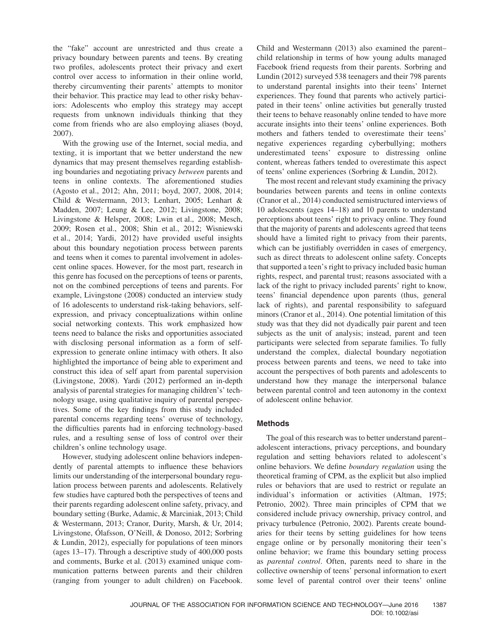the "fake" account are unrestricted and thus create a privacy boundary between parents and teens. By creating two profiles, adolescents protect their privacy and exert control over access to information in their online world, thereby circumventing their parents' attempts to monitor their behavior. This practice may lead to other risky behaviors: Adolescents who employ this strategy may accept requests from unknown individuals thinking that they come from friends who are also employing aliases (boyd, 2007).

With the growing use of the Internet, social media, and texting, it is important that we better understand the new dynamics that may present themselves regarding establishing boundaries and negotiating privacy *between* parents and teens in online contexts. The aforementioned studies (Agosto et al., 2012; Ahn, 2011; boyd, 2007, 2008, 2014; Child & Westermann, 2013; Lenhart, 2005; Lenhart & Madden, 2007; Leung & Lee, 2012; Livingstone, 2008; Livingstone & Helsper, 2008; Lwin et al., 2008; Mesch, 2009; Rosen et al., 2008; Shin et al., 2012; Wisniewski et al., 2014; Yardi, 2012) have provided useful insights about this boundary negotiation process between parents and teens when it comes to parental involvement in adolescent online spaces. However, for the most part, research in this genre has focused on the perceptions of teens or parents, not on the combined perceptions of teens and parents. For example, Livingstone (2008) conducted an interview study of 16 adolescents to understand risk-taking behaviors, selfexpression, and privacy conceptualizations within online social networking contexts. This work emphasized how teens need to balance the risks and opportunities associated with disclosing personal information as a form of selfexpression to generate online intimacy with others. It also highlighted the importance of being able to experiment and construct this idea of self apart from parental supervision (Livingstone, 2008). Yardi (2012) performed an in-depth analysis of parental strategies for managing children's' technology usage, using qualitative inquiry of parental perspectives. Some of the key findings from this study included parental concerns regarding teens' overuse of technology, the difficulties parents had in enforcing technology-based rules, and a resulting sense of loss of control over their children's online technology usage.

However, studying adolescent online behaviors independently of parental attempts to influence these behaviors limits our understanding of the interpersonal boundary regulation process between parents and adolescents. Relatively few studies have captured both the perspectives of teens and their parents regarding adolescent online safety, privacy, and boundary setting (Burke, Adamic, & Marciniak, 2013; Child & Westermann, 2013; Cranor, Durity, Marsh, & Ur, 2014; Livingstone, Ólafsson, O'Neill, & Donoso, 2012; Sorbring & Lundin, 2012), especially for populations of teen minors (ages 13–17). Through a descriptive study of 400,000 posts and comments, Burke et al. (2013) examined unique communication patterns between parents and their children (ranging from younger to adult children) on Facebook. Child and Westermann (2013) also examined the parent– child relationship in terms of how young adults managed Facebook friend requests from their parents. Sorbring and Lundin (2012) surveyed 538 teenagers and their 798 parents to understand parental insights into their teens' Internet experiences. They found that parents who actively participated in their teens' online activities but generally trusted their teens to behave reasonably online tended to have more accurate insights into their teens' online experiences. Both mothers and fathers tended to overestimate their teens' negative experiences regarding cyberbullying; mothers underestimated teens' exposure to distressing online content, whereas fathers tended to overestimate this aspect of teens' online experiences (Sorbring & Lundin, 2012).

The most recent and relevant study examining the privacy boundaries between parents and teens in online contexts (Cranor et al., 2014) conducted semistructured interviews of 10 adolescents (ages 14–18) and 10 parents to understand perceptions about teens' right to privacy online. They found that the majority of parents and adolescents agreed that teens should have a limited right to privacy from their parents, which can be justifiably overridden in cases of emergency, such as direct threats to adolescent online safety. Concepts that supported a teen's right to privacy included basic human rights, respect, and parental trust; reasons associated with a lack of the right to privacy included parents' right to know, teens' financial dependence upon parents (thus, general lack of rights), and parental responsibility to safeguard minors (Cranor et al., 2014). One potential limitation of this study was that they did not dyadically pair parent and teen subjects as the unit of analysis; instead, parent and teen participants were selected from separate families. To fully understand the complex, dialectal boundary negotiation process between parents and teens, we need to take into account the perspectives of both parents and adolescents to understand how they manage the interpersonal balance between parental control and teen autonomy in the context of adolescent online behavior.

## **Methods**

The goal of this research was to better understand parent– adolescent interactions, privacy perceptions, and boundary regulation and setting behaviors related to adolescent's online behaviors. We define *boundary regulation* using the theoretical framing of CPM, as the explicit but also implied rules or behaviors that are used to restrict or regulate an individual's information or activities (Altman, 1975; Petronio, 2002). Three main principles of CPM that we considered include privacy ownership, privacy control, and privacy turbulence (Petronio, 2002). Parents create boundaries for their teens by setting guidelines for how teens engage online or by personally monitoring their teen's online behavior; we frame this boundary setting process as *parental control*. Often, parents need to share in the collective ownership of teens' personal information to exert some level of parental control over their teens' online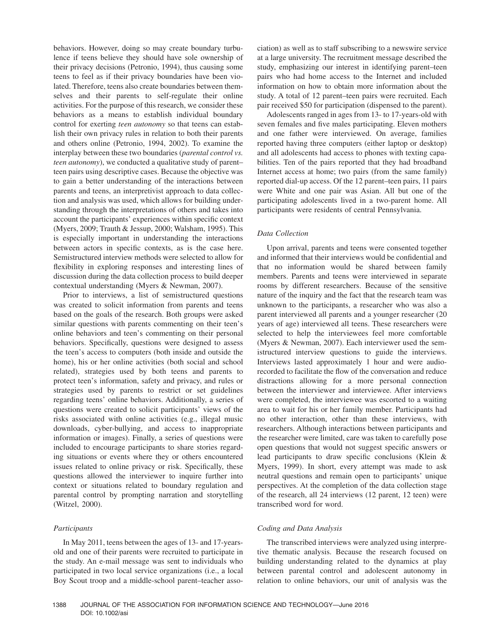behaviors. However, doing so may create boundary turbulence if teens believe they should have sole ownership of their privacy decisions (Petronio, 1994), thus causing some teens to feel as if their privacy boundaries have been violated. Therefore, teens also create boundaries between themselves and their parents to self-regulate their online activities. For the purpose of this research, we consider these behaviors as a means to establish individual boundary control for exerting *teen autonomy* so that teens can establish their own privacy rules in relation to both their parents and others online (Petronio, 1994, 2002). To examine the interplay between these two boundaries (*parental control vs. teen autonomy*), we conducted a qualitative study of parent– teen pairs using descriptive cases. Because the objective was to gain a better understanding of the interactions between parents and teens, an interpretivist approach to data collection and analysis was used, which allows for building understanding through the interpretations of others and takes into account the participants' experiences within specific context (Myers, 2009; Trauth & Jessup, 2000; Walsham, 1995). This is especially important in understanding the interactions between actors in specific contexts, as is the case here. Semistructured interview methods were selected to allow for flexibility in exploring responses and interesting lines of discussion during the data collection process to build deeper contextual understanding (Myers & Newman, 2007).

Prior to interviews, a list of semistructured questions was created to solicit information from parents and teens based on the goals of the research. Both groups were asked similar questions with parents commenting on their teen's online behaviors and teen's commenting on their personal behaviors. Specifically, questions were designed to assess the teen's access to computers (both inside and outside the home), his or her online activities (both social and school related), strategies used by both teens and parents to protect teen's information, safety and privacy, and rules or strategies used by parents to restrict or set guidelines regarding teens' online behaviors. Additionally, a series of questions were created to solicit participants' views of the risks associated with online activities (e.g., illegal music downloads, cyber-bullying, and access to inappropriate information or images). Finally, a series of questions were included to encourage participants to share stories regarding situations or events where they or others encountered issues related to online privacy or risk. Specifically, these questions allowed the interviewer to inquire further into context or situations related to boundary regulation and parental control by prompting narration and storytelling (Witzel, 2000).

## *Participants*

In May 2011, teens between the ages of 13- and 17-yearsold and one of their parents were recruited to participate in the study. An e-mail message was sent to individuals who participated in two local service organizations (i.e., a local Boy Scout troop and a middle-school parent–teacher association) as well as to staff subscribing to a newswire service at a large university. The recruitment message described the study, emphasizing our interest in identifying parent–teen pairs who had home access to the Internet and included information on how to obtain more information about the study. A total of 12 parent–teen pairs were recruited. Each pair received \$50 for participation (dispensed to the parent).

Adolescents ranged in ages from 13- to 17-years-old with seven females and five males participating. Eleven mothers and one father were interviewed. On average, families reported having three computers (either laptop or desktop) and all adolescents had access to phones with texting capabilities. Ten of the pairs reported that they had broadband Internet access at home; two pairs (from the same family) reported dial-up access. Of the 12 parent–teen pairs, 11 pairs were White and one pair was Asian. All but one of the participating adolescents lived in a two-parent home. All participants were residents of central Pennsylvania.

## *Data Collection*

Upon arrival, parents and teens were consented together and informed that their interviews would be confidential and that no information would be shared between family members. Parents and teens were interviewed in separate rooms by different researchers. Because of the sensitive nature of the inquiry and the fact that the research team was unknown to the participants, a researcher who was also a parent interviewed all parents and a younger researcher (20 years of age) interviewed all teens. These researchers were selected to help the interviewees feel more comfortable (Myers & Newman, 2007). Each interviewer used the semistructured interview questions to guide the interviews. Interviews lasted approximately 1 hour and were audiorecorded to facilitate the flow of the conversation and reduce distractions allowing for a more personal connection between the interviewer and interviewee. After interviews were completed, the interviewee was escorted to a waiting area to wait for his or her family member. Participants had no other interaction, other than these interviews, with researchers. Although interactions between participants and the researcher were limited, care was taken to carefully pose open questions that would not suggest specific answers or lead participants to draw specific conclusions (Klein & Myers, 1999). In short, every attempt was made to ask neutral questions and remain open to participants' unique perspectives. At the completion of the data collection stage of the research, all 24 interviews (12 parent, 12 teen) were transcribed word for word.

## *Coding and Data Analysis*

The transcribed interviews were analyzed using interpretive thematic analysis. Because the research focused on building understanding related to the dynamics at play between parental control and adolescent autonomy in relation to online behaviors, our unit of analysis was the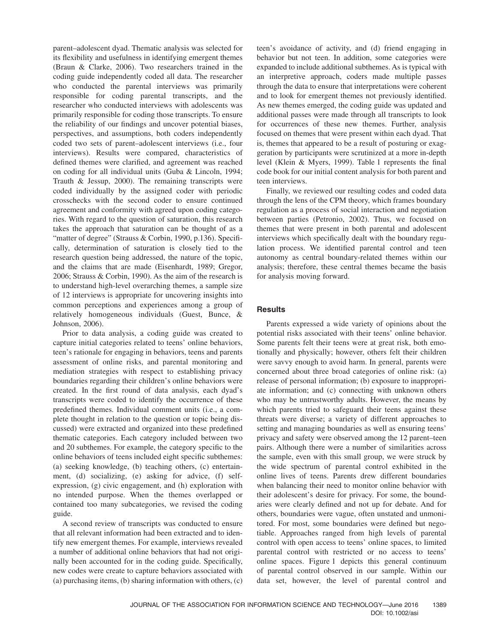parent–adolescent dyad. Thematic analysis was selected for its flexibility and usefulness in identifying emergent themes (Braun & Clarke, 2006). Two researchers trained in the coding guide independently coded all data. The researcher who conducted the parental interviews was primarily responsible for coding parental transcripts, and the researcher who conducted interviews with adolescents was primarily responsible for coding those transcripts. To ensure the reliability of our findings and uncover potential biases, perspectives, and assumptions, both coders independently coded two sets of parent–adolescent interviews (i.e., four interviews). Results were compared, characteristics of defined themes were clarified, and agreement was reached on coding for all individual units (Guba & Lincoln, 1994; Trauth & Jessup, 2000). The remaining transcripts were coded individually by the assigned coder with periodic crosschecks with the second coder to ensure continued agreement and conformity with agreed upon coding categories. With regard to the question of saturation, this research takes the approach that saturation can be thought of as a "matter of degree" (Strauss & Corbin, 1990, p.136). Specifically, determination of saturation is closely tied to the research question being addressed, the nature of the topic, and the claims that are made (Eisenhardt, 1989; Gregor, 2006; Strauss & Corbin, 1990). As the aim of the research is to understand high-level overarching themes, a sample size of 12 interviews is appropriate for uncovering insights into common perceptions and experiences among a group of relatively homogeneous individuals (Guest, Bunce, & Johnson, 2006).

Prior to data analysis, a coding guide was created to capture initial categories related to teens' online behaviors, teen's rationale for engaging in behaviors, teens and parents assessment of online risks, and parental monitoring and mediation strategies with respect to establishing privacy boundaries regarding their children's online behaviors were created. In the first round of data analysis, each dyad's transcripts were coded to identify the occurrence of these predefined themes. Individual comment units (i.e., a complete thought in relation to the question or topic being discussed) were extracted and organized into these predefined thematic categories. Each category included between two and 20 subthemes. For example, the category specific to the online behaviors of teens included eight specific subthemes: (a) seeking knowledge, (b) teaching others, (c) entertainment, (d) socializing, (e) asking for advice, (f) selfexpression, (g) civic engagement, and (h) exploration with no intended purpose. When the themes overlapped or contained too many subcategories, we revised the coding guide.

A second review of transcripts was conducted to ensure that all relevant information had been extracted and to identify new emergent themes. For example, interviews revealed a number of additional online behaviors that had not originally been accounted for in the coding guide. Specifically, new codes were create to capture behaviors associated with (a) purchasing items, (b) sharing information with others, (c) teen's avoidance of activity, and (d) friend engaging in behavior but not teen. In addition, some categories were expanded to include additional subthemes. As is typical with an interpretive approach, coders made multiple passes through the data to ensure that interpretations were coherent and to look for emergent themes not previously identified. As new themes emerged, the coding guide was updated and additional passes were made through all transcripts to look for occurrences of these new themes. Further, analysis focused on themes that were present within each dyad. That is, themes that appeared to be a result of posturing or exaggeration by participants were scrutinized at a more in-depth level (Klein & Myers, 1999). Table 1 represents the final code book for our initial content analysis for both parent and teen interviews.

Finally, we reviewed our resulting codes and coded data through the lens of the CPM theory, which frames boundary regulation as a process of social interaction and negotiation between parties (Petronio, 2002). Thus, we focused on themes that were present in both parental and adolescent interviews which specifically dealt with the boundary regulation process. We identified parental control and teen autonomy as central boundary-related themes within our analysis; therefore, these central themes became the basis for analysis moving forward.

## **Results**

Parents expressed a wide variety of opinions about the potential risks associated with their teens' online behavior. Some parents felt their teens were at great risk, both emotionally and physically; however, others felt their children were savvy enough to avoid harm. In general, parents were concerned about three broad categories of online risk: (a) release of personal information; (b) exposure to inappropriate information; and (c) connecting with unknown others who may be untrustworthy adults. However, the means by which parents tried to safeguard their teens against these threats were diverse; a variety of different approaches to setting and managing boundaries as well as ensuring teens' privacy and safety were observed among the 12 parent–teen pairs. Although there were a number of similarities across the sample, even with this small group, we were struck by the wide spectrum of parental control exhibited in the online lives of teens. Parents drew different boundaries when balancing their need to monitor online behavior with their adolescent's desire for privacy. For some, the boundaries were clearly defined and not up for debate. And for others, boundaries were vague, often unstated and unmonitored. For most, some boundaries were defined but negotiable. Approaches ranged from high levels of parental control with open access to teens' online spaces, to limited parental control with restricted or no access to teens' online spaces. Figure 1 depicts this general continuum of parental control observed in our sample. Within our data set, however, the level of parental control and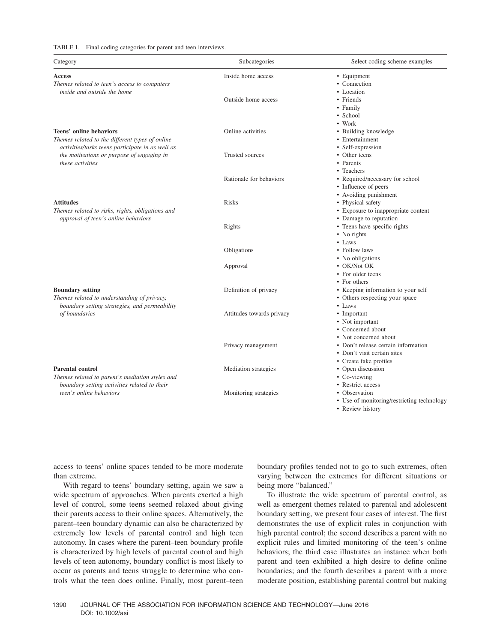#### TABLE 1. Final coding categories for parent and teen interviews.

| Category                                                                                                                                                                                        | Subcategories             | Select coding scheme examples                                                                        |
|-------------------------------------------------------------------------------------------------------------------------------------------------------------------------------------------------|---------------------------|------------------------------------------------------------------------------------------------------|
| Access<br>Themes related to teen's access to computers                                                                                                                                          | Inside home access        | • Equipment<br>• Connection                                                                          |
| inside and outside the home                                                                                                                                                                     | Outside home access       | • Location<br>• Friends<br>• Family<br>• School                                                      |
| Teens' online behaviors<br>Themes related to the different types of online<br>activities/tasks teens participate in as well as<br>the motivations or purpose of engaging in<br>these activities | Online activities         | • Work<br>• Building knowledge<br>• Entertainment<br>• Self-expression                               |
|                                                                                                                                                                                                 | Trusted sources           | • Other teens<br>• Parents                                                                           |
|                                                                                                                                                                                                 | Rationale for behaviors   | • Teachers<br>• Required/necessary for school<br>• Influence of peers                                |
| <b>Attitudes</b><br>Themes related to risks, rights, obligations and<br>approval of teen's online behaviors                                                                                     | <b>Risks</b>              | • Avoiding punishment<br>• Physical safety<br>• Exposure to inappropriate content                    |
|                                                                                                                                                                                                 | Rights                    | • Damage to reputation<br>• Teens have specific rights<br>• No rights                                |
|                                                                                                                                                                                                 | Obligations               | $\bullet$ Laws<br>• Follow laws                                                                      |
|                                                                                                                                                                                                 | Approval                  | • No obligations<br>• OK/Not OK<br>• For older teens<br>• For others                                 |
| <b>Boundary setting</b><br>Themes related to understanding of privacy,<br>boundary setting strategies, and permeability<br>of boundaries                                                        | Definition of privacy     | • Keeping information to your self<br>• Others respecting your space<br>$\bullet$ Laws               |
|                                                                                                                                                                                                 | Attitudes towards privacy | • Important<br>• Not important<br>• Concerned about                                                  |
|                                                                                                                                                                                                 | Privacy management        | • Not concerned about<br>• Don't release certain information<br>• Don't visit certain sites          |
| <b>Parental control</b><br>Themes related to parent's mediation styles and<br>boundary setting activities related to their<br>teen's online behaviors                                           | Mediation strategies      | • Create fake profiles<br>• Open discussion<br>• Co-viewing                                          |
|                                                                                                                                                                                                 | Monitoring strategies     | • Restrict access<br>• Observation<br>• Use of monitoring/restricting technology<br>• Review history |

access to teens' online spaces tended to be more moderate than extreme.

With regard to teens' boundary setting, again we saw a wide spectrum of approaches. When parents exerted a high level of control, some teens seemed relaxed about giving their parents access to their online spaces. Alternatively, the parent–teen boundary dynamic can also be characterized by extremely low levels of parental control and high teen autonomy. In cases where the parent–teen boundary profile is characterized by high levels of parental control and high levels of teen autonomy, boundary conflict is most likely to occur as parents and teens struggle to determine who controls what the teen does online. Finally, most parent–teen boundary profiles tended not to go to such extremes, often varying between the extremes for different situations or being more "balanced."

To illustrate the wide spectrum of parental control, as well as emergent themes related to parental and adolescent boundary setting, we present four cases of interest. The first demonstrates the use of explicit rules in conjunction with high parental control; the second describes a parent with no explicit rules and limited monitoring of the teen's online behaviors; the third case illustrates an instance when both parent and teen exhibited a high desire to define online boundaries; and the fourth describes a parent with a more moderate position, establishing parental control but making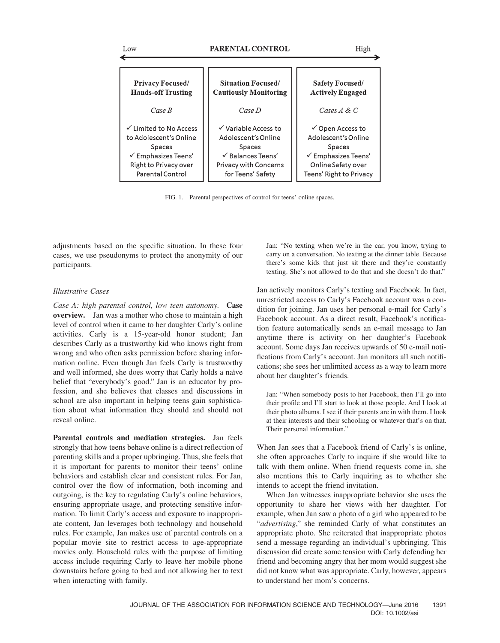Low €

| <b>Privacy Focused/</b>        | <b>Situation Focused/</b>    | Safety Focused/                |
|--------------------------------|------------------------------|--------------------------------|
| <b>Hands-off Trusting</b>      | <b>Cautiously Monitoring</b> | <b>Actively Engaged</b>        |
| Case B                         | Case D                       | Cases $A \& C$                 |
| ✓ Limited to No Access         | √ Variable Access to         | $\checkmark$ Open Access to    |
| to Adolescent's Online         | Adolescent's Online          | Adolescent's Online            |
| <b>Spaces</b>                  | <b>Spaces</b>                | <b>Spaces</b>                  |
| $\checkmark$ Emphasizes Teens' | $\checkmark$ Balances Teens' | $\checkmark$ Emphasizes Teens' |
| Right to Privacy over          | <b>Privacy with Concerns</b> | Online Safety over             |
| Parental Control               | for Teens' Safety            | Teens' Right to Privacy        |

FIG. 1. Parental perspectives of control for teens' online spaces.

adjustments based on the specific situation. In these four cases, we use pseudonyms to protect the anonymity of our participants.

## *Illustrative Cases*

*Case A: high parental control, low teen autonomy.* **Case overview.** Jan was a mother who chose to maintain a high level of control when it came to her daughter Carly's online activities. Carly is a 15-year-old honor student; Jan describes Carly as a trustworthy kid who knows right from wrong and who often asks permission before sharing information online. Even though Jan feels Carly is trustworthy and well informed, she does worry that Carly holds a naïve belief that "everybody's good." Jan is an educator by profession, and she believes that classes and discussions in school are also important in helping teens gain sophistication about what information they should and should not reveal online.

**Parental controls and mediation strategies.** Jan feels strongly that how teens behave online is a direct reflection of parenting skills and a proper upbringing. Thus, she feels that it is important for parents to monitor their teens' online behaviors and establish clear and consistent rules. For Jan, control over the flow of information, both incoming and outgoing, is the key to regulating Carly's online behaviors, ensuring appropriate usage, and protecting sensitive information. To limit Carly's access and exposure to inappropriate content, Jan leverages both technology and household rules. For example, Jan makes use of parental controls on a popular movie site to restrict access to age-appropriate movies only. Household rules with the purpose of limiting access include requiring Carly to leave her mobile phone downstairs before going to bed and not allowing her to text when interacting with family.

Jan: "No texting when we're in the car, you know, trying to carry on a conversation. No texting at the dinner table. Because there's some kids that just sit there and they're constantly texting. She's not allowed to do that and she doesn't do that."

Jan actively monitors Carly's texting and Facebook. In fact, unrestricted access to Carly's Facebook account was a condition for joining. Jan uses her personal e-mail for Carly's Facebook account. As a direct result, Facebook's notification feature automatically sends an e-mail message to Jan anytime there is activity on her daughter's Facebook account. Some days Jan receives upwards of 50 e-mail notifications from Carly's account. Jan monitors all such notifications; she sees her unlimited access as a way to learn more about her daughter's friends.

Jan: "When somebody posts to her Facebook, then I'll go into their profile and I'll start to look at those people. And I look at their photo albums. I see if their parents are in with them. I look at their interests and their schooling or whatever that's on that. Their personal information."

When Jan sees that a Facebook friend of Carly's is online, she often approaches Carly to inquire if she would like to talk with them online. When friend requests come in, she also mentions this to Carly inquiring as to whether she intends to accept the friend invitation.

When Jan witnesses inappropriate behavior she uses the opportunity to share her views with her daughter. For example, when Jan saw a photo of a girl who appeared to be "*advertising*," she reminded Carly of what constitutes an appropriate photo. She reiterated that inappropriate photos send a message regarding an individual's upbringing. This discussion did create some tension with Carly defending her friend and becoming angry that her mom would suggest she did not know what was appropriate. Carly, however, appears to understand her mom's concerns.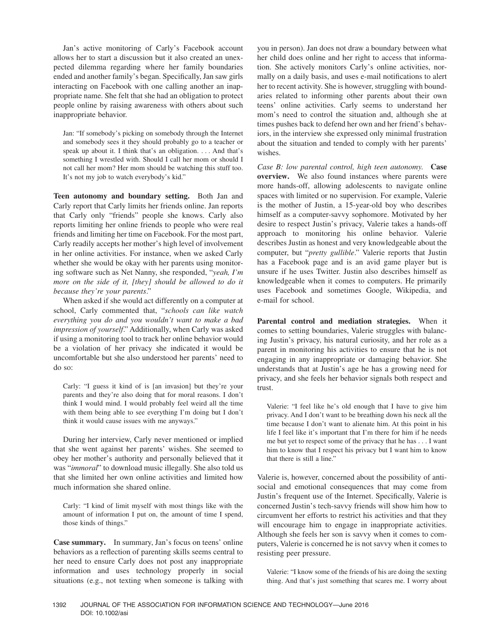Jan's active monitoring of Carly's Facebook account allows her to start a discussion but it also created an unexpected dilemma regarding where her family boundaries ended and another family's began. Specifically, Jan saw girls interacting on Facebook with one calling another an inappropriate name. She felt that she had an obligation to protect people online by raising awareness with others about such inappropriate behavior.

Jan: "If somebody's picking on somebody through the Internet and somebody sees it they should probably go to a teacher or speak up about it. I think that's an obligation. . . . And that's something I wrestled with. Should I call her mom or should I not call her mom? Her mom should be watching this stuff too. It's not my job to watch everybody's kid."

**Teen autonomy and boundary setting.** Both Jan and Carly report that Carly limits her friends online. Jan reports that Carly only "friends" people she knows. Carly also reports limiting her online friends to people who were real friends and limiting her time on Facebook. For the most part, Carly readily accepts her mother's high level of involvement in her online activities. For instance, when we asked Carly whether she would be okay with her parents using monitoring software such as Net Nanny, she responded, "*yeah, I'm more on the side of it, [they] should be allowed to do it because they're your parents*."

When asked if she would act differently on a computer at school, Carly commented that, "*schools can like watch everything you do and you wouldn't want to make a bad impression of yourself*." Additionally, when Carly was asked if using a monitoring tool to track her online behavior would be a violation of her privacy she indicated it would be uncomfortable but she also understood her parents' need to do so:

Carly: "I guess it kind of is [an invasion] but they're your parents and they're also doing that for moral reasons. I don't think I would mind. I would probably feel weird all the time with them being able to see everything I'm doing but I don't think it would cause issues with me anyways."

During her interview, Carly never mentioned or implied that she went against her parents' wishes. She seemed to obey her mother's authority and personally believed that it was "*immoral*" to download music illegally. She also told us that she limited her own online activities and limited how much information she shared online.

Carly: "I kind of limit myself with most things like with the amount of information I put on, the amount of time I spend, those kinds of things."

**Case summary.** In summary, Jan's focus on teens' online behaviors as a reflection of parenting skills seems central to her need to ensure Carly does not post any inappropriate information and uses technology properly in social situations (e.g., not texting when someone is talking with you in person). Jan does not draw a boundary between what her child does online and her right to access that information. She actively monitors Carly's online activities, normally on a daily basis, and uses e-mail notifications to alert her to recent activity. She is however, struggling with boundaries related to informing other parents about their own teens' online activities. Carly seems to understand her mom's need to control the situation and, although she at times pushes back to defend her own and her friend's behaviors, in the interview she expressed only minimal frustration about the situation and tended to comply with her parents' wishes.

*Case B: low parental control, high teen autonomy.* **Case overview.** We also found instances where parents were more hands-off, allowing adolescents to navigate online spaces with limited or no supervision. For example, Valerie is the mother of Justin, a 15-year-old boy who describes himself as a computer-savvy sophomore. Motivated by her desire to respect Justin's privacy, Valerie takes a hands-off approach to monitoring his online behavior. Valerie describes Justin as honest and very knowledgeable about the computer, but "*pretty gullible*." Valerie reports that Justin has a Facebook page and is an avid game player but is unsure if he uses Twitter. Justin also describes himself as knowledgeable when it comes to computers. He primarily uses Facebook and sometimes Google, Wikipedia, and e-mail for school.

**Parental control and mediation strategies.** When it comes to setting boundaries, Valerie struggles with balancing Justin's privacy, his natural curiosity, and her role as a parent in monitoring his activities to ensure that he is not engaging in any inappropriate or damaging behavior. She understands that at Justin's age he has a growing need for privacy, and she feels her behavior signals both respect and trust.

Valerie: "I feel like he's old enough that I have to give him privacy. And I don't want to be breathing down his neck all the time because I don't want to alienate him. At this point in his life I feel like it's important that I'm there for him if he needs me but yet to respect some of the privacy that he has . . . I want him to know that I respect his privacy but I want him to know that there is still a line."

Valerie is, however, concerned about the possibility of antisocial and emotional consequences that may come from Justin's frequent use of the Internet. Specifically, Valerie is concerned Justin's tech-savvy friends will show him how to circumvent her efforts to restrict his activities and that they will encourage him to engage in inappropriate activities. Although she feels her son is savvy when it comes to computers, Valerie is concerned he is not savvy when it comes to resisting peer pressure.

Valerie: "I know some of the friends of his are doing the sexting thing. And that's just something that scares me. I worry about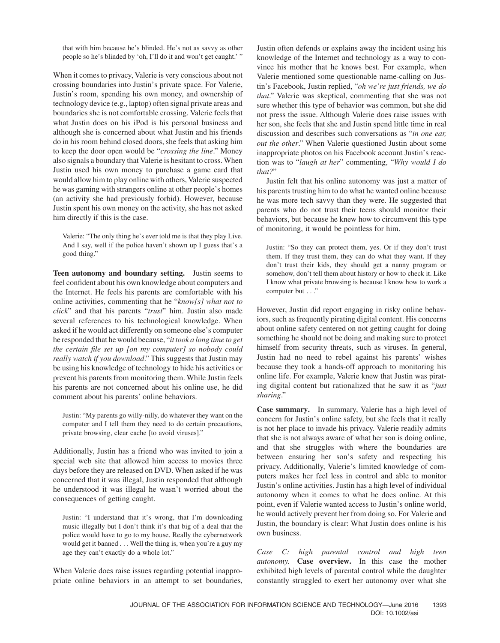that with him because he's blinded. He's not as savvy as other people so he's blinded by 'oh, I'll do it and won't get caught.' "

When it comes to privacy, Valerie is very conscious about not crossing boundaries into Justin's private space. For Valerie, Justin's room, spending his own money, and ownership of technology device (e.g., laptop) often signal private areas and boundaries she is not comfortable crossing. Valerie feels that what Justin does on his iPod is his personal business and although she is concerned about what Justin and his friends do in his room behind closed doors, she feels that asking him to keep the door open would be "*crossing the line*." Money also signals a boundary that Valerie is hesitant to cross. When Justin used his own money to purchase a game card that would allow him to play online with others, Valerie suspected he was gaming with strangers online at other people's homes (an activity she had previously forbid). However, because Justin spent his own money on the activity, she has not asked him directly if this is the case.

Valerie: "The only thing he's ever told me is that they play Live. And I say, well if the police haven't shown up I guess that's a good thing."

**Teen autonomy and boundary setting.** Justin seems to feel confident about his own knowledge about computers and the Internet. He feels his parents are comfortable with his online activities, commenting that he "*know[s] what not to click*" and that his parents "*trust*" him. Justin also made several references to his technological knowledge. When asked if he would act differently on someone else's computer he responded that he would because, "*it took a long time to get the certain file set up [on my computer] so nobody could really watch if you download*." This suggests that Justin may be using his knowledge of technology to hide his activities or prevent his parents from monitoring them. While Justin feels his parents are not concerned about his online use, he did comment about his parents' online behaviors.

Justin: "My parents go willy-nilly, do whatever they want on the computer and I tell them they need to do certain precautions, private browsing, clear cache [to avoid viruses]."

Additionally, Justin has a friend who was invited to join a special web site that allowed him access to movies three days before they are released on DVD. When asked if he was concerned that it was illegal, Justin responded that although he understood it was illegal he wasn't worried about the consequences of getting caught.

Justin: "I understand that it's wrong, that I'm downloading music illegally but I don't think it's that big of a deal that the police would have to go to my house. Really the cybernetwork would get it banned . . . Well the thing is, when you're a guy my age they can't exactly do a whole lot."

When Valerie does raise issues regarding potential inappropriate online behaviors in an attempt to set boundaries, Justin often defends or explains away the incident using his knowledge of the Internet and technology as a way to convince his mother that he knows best. For example, when Valerie mentioned some questionable name-calling on Justin's Facebook, Justin replied, "*oh we're just friends, we do that*." Valerie was skeptical, commenting that she was not sure whether this type of behavior was common, but she did not press the issue. Although Valerie does raise issues with her son, she feels that she and Justin spend little time in real discussion and describes such conversations as "*in one ear, out the other*." When Valerie questioned Justin about some inappropriate photos on his Facebook account Justin's reaction was to "*laugh at her*" commenting, "*Why would I do that?*"

Justin felt that his online autonomy was just a matter of his parents trusting him to do what he wanted online because he was more tech savvy than they were. He suggested that parents who do not trust their teens should monitor their behaviors, but because he knew how to circumvent this type of monitoring, it would be pointless for him.

Justin: "So they can protect them, yes. Or if they don't trust them. If they trust them, they can do what they want. If they don't trust their kids, they should get a nanny program or somehow, don't tell them about history or how to check it. Like I know what private browsing is because I know how to work a computer but . . ."

However, Justin did report engaging in risky online behaviors, such as frequently pirating digital content. His concerns about online safety centered on not getting caught for doing something he should not be doing and making sure to protect himself from security threats, such as viruses. In general, Justin had no need to rebel against his parents' wishes because they took a hands-off approach to monitoring his online life. For example, Valerie knew that Justin was pirating digital content but rationalized that he saw it as "*just sharing*."

**Case summary.** In summary, Valerie has a high level of concern for Justin's online safety, but she feels that it really is not her place to invade his privacy. Valerie readily admits that she is not always aware of what her son is doing online, and that she struggles with where the boundaries are between ensuring her son's safety and respecting his privacy. Additionally, Valerie's limited knowledge of computers makes her feel less in control and able to monitor Justin's online activities. Justin has a high level of individual autonomy when it comes to what he does online. At this point, even if Valerie wanted access to Justin's online world, he would actively prevent her from doing so. For Valerie and Justin, the boundary is clear: What Justin does online is his own business.

*Case C: high parental control and high teen autonomy.* **Case overview.** In this case the mother exhibited high levels of parental control while the daughter constantly struggled to exert her autonomy over what she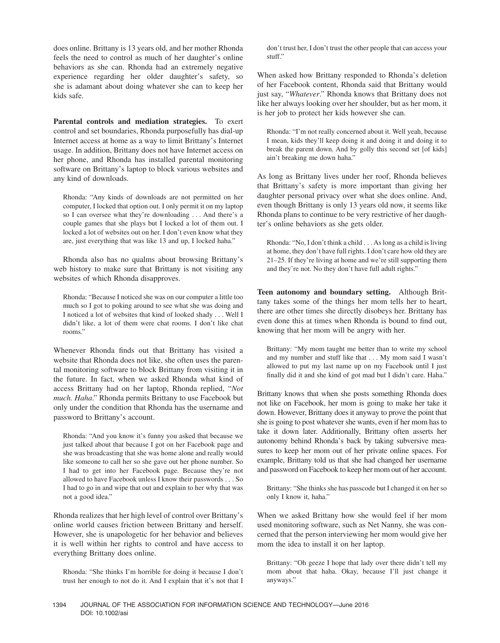does online. Brittany is 13 years old, and her mother Rhonda feels the need to control as much of her daughter's online behaviors as she can. Rhonda had an extremely negative experience regarding her older daughter's safety, so she is adamant about doing whatever she can to keep her kids safe.

**Parental controls and mediation strategies.** To exert control and set boundaries, Rhonda purposefully has dial-up Internet access at home as a way to limit Brittany's Internet usage. In addition, Brittany does not have Internet access on her phone, and Rhonda has installed parental monitoring software on Brittany's laptop to block various websites and any kind of downloads.

Rhonda: "Any kinds of downloads are not permitted on her computer, I locked that option out. I only permit it on my laptop so I can oversee what they're downloading . . . And there's a couple games that she plays but I locked a lot of them out. I locked a lot of websites out on her. I don't even know what they are, just everything that was like 13 and up, I locked haha."

Rhonda also has no qualms about browsing Brittany's web history to make sure that Brittany is not visiting any websites of which Rhonda disapproves.

Rhonda: "Because I noticed she was on our computer a little too much so I got to poking around to see what she was doing and I noticed a lot of websites that kind of looked shady . . . Well I didn't like, a lot of them were chat rooms. I don't like chat rooms."

Whenever Rhonda finds out that Brittany has visited a website that Rhonda does not like, she often uses the parental monitoring software to block Brittany from visiting it in the future. In fact, when we asked Rhonda what kind of access Brittany had on her laptop, Rhonda replied, "*Not much. Haha*." Rhonda permits Brittany to use Facebook but only under the condition that Rhonda has the username and password to Brittany's account.

Rhonda: "And you know it's funny you asked that because we just talked about that because I got on her Facebook page and she was broadcasting that she was home alone and really would like someone to call her so she gave out her phone number. So I had to get into her Facebook page. Because they're not allowed to have Facebook unless I know their passwords . . . So I had to go in and wipe that out and explain to her why that was not a good idea."

Rhonda realizes that her high level of control over Brittany's online world causes friction between Brittany and herself. However, she is unapologetic for her behavior and believes it is well within her rights to control and have access to everything Brittany does online.

Rhonda: "She thinks I'm horrible for doing it because I don't trust her enough to not do it. And I explain that it's not that I don't trust her, I don't trust the other people that can access your stuff."

When asked how Brittany responded to Rhonda's deletion of her Facebook content, Rhonda said that Brittany would just say, "*Whatever*." Rhonda knows that Brittany does not like her always looking over her shoulder, but as her mom, it is her job to protect her kids however she can.

Rhonda: "I'm not really concerned about it. Well yeah, because I mean, kids they'll keep doing it and doing it and doing it to break the parent down. And by golly this second set [of kids] ain't breaking me down haha."

As long as Brittany lives under her roof, Rhonda believes that Brittany's safety is more important than giving her daughter personal privacy over what she does online. And, even though Brittany is only 13 years old now, it seems like Rhonda plans to continue to be very restrictive of her daughter's online behaviors as she gets older.

Rhonda: "No, I don't think a child . . . As long as a child is living at home, they don't have full rights. I don't care how old they are 21–25. If they're living at home and we're still supporting them and they're not. No they don't have full adult rights."

**Teen autonomy and boundary setting.** Although Brittany takes some of the things her mom tells her to heart, there are other times she directly disobeys her. Brittany has even done this at times when Rhonda is bound to find out, knowing that her mom will be angry with her.

Brittany: "My mom taught me better than to write my school and my number and stuff like that . . . My mom said I wasn't allowed to put my last name up on my Facebook until I just finally did it and she kind of got mad but I didn't care. Haha."

Brittany knows that when she posts something Rhonda does not like on Facebook, her mom is going to make her take it down. However, Brittany does it anyway to prove the point that she is going to post whatever she wants, even if her mom has to take it down later. Additionally, Brittany often asserts her autonomy behind Rhonda's back by taking subversive measures to keep her mom out of her private online spaces. For example, Brittany told us that she had changed her username and password on Facebook to keep her mom out of her account.

Brittany: "She thinks she has passcode but I changed it on her so only I know it, haha."

When we asked Brittany how she would feel if her mom used monitoring software, such as Net Nanny, she was concerned that the person interviewing her mom would give her mom the idea to install it on her laptop.

Brittany: "Oh geeze I hope that lady over there didn't tell my mom about that haha. Okay, because I'll just change it anyways."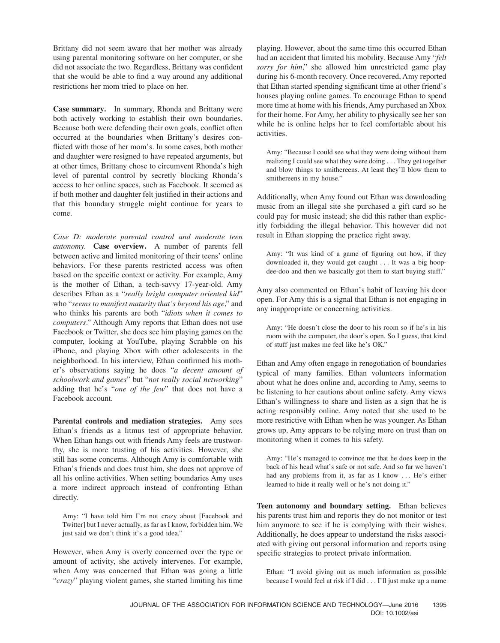Brittany did not seem aware that her mother was already using parental monitoring software on her computer, or she did not associate the two. Regardless, Brittany was confident that she would be able to find a way around any additional restrictions her mom tried to place on her.

**Case summary.** In summary, Rhonda and Brittany were both actively working to establish their own boundaries. Because both were defending their own goals, conflict often occurred at the boundaries when Brittany's desires conflicted with those of her mom's. In some cases, both mother and daughter were resigned to have repeated arguments, but at other times, Brittany chose to circumvent Rhonda's high level of parental control by secretly blocking Rhonda's access to her online spaces, such as Facebook. It seemed as if both mother and daughter felt justified in their actions and that this boundary struggle might continue for years to come.

*Case D: moderate parental control and moderate teen autonomy.* **Case overview.** A number of parents fell between active and limited monitoring of their teens' online behaviors. For these parents restricted access was often based on the specific context or activity. For example, Amy is the mother of Ethan, a tech-savvy 17-year-old. Amy describes Ethan as a "*really bright computer oriented kid*" who "*seems to manifest maturity that's beyond his age*," and who thinks his parents are both "*idiots when it comes to computers*." Although Amy reports that Ethan does not use Facebook or Twitter, she does see him playing games on the computer, looking at YouTube, playing Scrabble on his iPhone, and playing Xbox with other adolescents in the neighborhood. In his interview, Ethan confirmed his mother's observations saying he does "*a decent amount of schoolwork and games*" but "*not really social networking*" adding that he's "*one of the few*" that does not have a Facebook account.

**Parental controls and mediation strategies.** Amy sees Ethan's friends as a litmus test of appropriate behavior. When Ethan hangs out with friends Amy feels are trustworthy, she is more trusting of his activities. However, she still has some concerns. Although Amy is comfortable with Ethan's friends and does trust him, she does not approve of all his online activities. When setting boundaries Amy uses a more indirect approach instead of confronting Ethan directly.

Amy: "I have told him I'm not crazy about [Facebook and Twitter] but I never actually, as far as I know, forbidden him. We just said we don't think it's a good idea."

However, when Amy is overly concerned over the type or amount of activity, she actively intervenes. For example, when Amy was concerned that Ethan was going a little "*crazy*" playing violent games, she started limiting his time playing. However, about the same time this occurred Ethan had an accident that limited his mobility. Because Amy "*felt sorry for him*," she allowed him unrestricted game play during his 6-month recovery. Once recovered, Amy reported that Ethan started spending significant time at other friend's houses playing online games. To encourage Ethan to spend more time at home with his friends, Amy purchased an Xbox for their home. For Amy, her ability to physically see her son while he is online helps her to feel comfortable about his activities.

Amy: "Because I could see what they were doing without them realizing I could see what they were doing . . . They get together and blow things to smithereens. At least they'll blow them to smithereens in my house."

Additionally, when Amy found out Ethan was downloading music from an illegal site she purchased a gift card so he could pay for music instead; she did this rather than explicitly forbidding the illegal behavior. This however did not result in Ethan stopping the practice right away.

Amy: "It was kind of a game of figuring out how, if they downloaded it, they would get caught . . . It was a big hoopdee-doo and then we basically got them to start buying stuff."

Amy also commented on Ethan's habit of leaving his door open. For Amy this is a signal that Ethan is not engaging in any inappropriate or concerning activities.

Amy: "He doesn't close the door to his room so if he's in his room with the computer, the door's open. So I guess, that kind of stuff just makes me feel like he's OK."

Ethan and Amy often engage in renegotiation of boundaries typical of many families. Ethan volunteers information about what he does online and, according to Amy, seems to be listening to her cautions about online safety. Amy views Ethan's willingness to share and listen as a sign that he is acting responsibly online. Amy noted that she used to be more restrictive with Ethan when he was younger. As Ethan grows up, Amy appears to be relying more on trust than on monitoring when it comes to his safety.

Amy: "He's managed to convince me that he does keep in the back of his head what's safe or not safe. And so far we haven't had any problems from it, as far as I know . . . He's either learned to hide it really well or he's not doing it."

**Teen autonomy and boundary setting.** Ethan believes his parents trust him and reports they do not monitor or test him anymore to see if he is complying with their wishes. Additionally, he does appear to understand the risks associated with giving out personal information and reports using specific strategies to protect private information.

Ethan: "I avoid giving out as much information as possible because I would feel at risk if I did . . . I'll just make up a name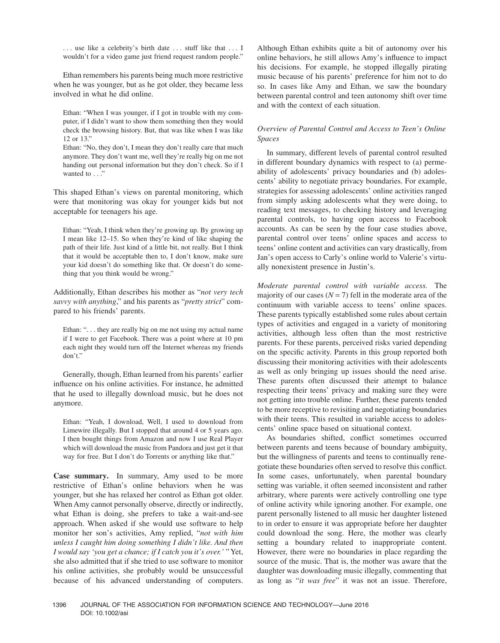... use like a celebrity's birth date ... stuff like that ... I wouldn't for a video game just friend request random people."

Ethan remembers his parents being much more restrictive when he was younger, but as he got older, they became less involved in what he did online.

Ethan: "When I was younger, if I got in trouble with my computer, if I didn't want to show them something then they would check the browsing history. But, that was like when I was like 12 or 13."

Ethan: "No, they don't, I mean they don't really care that much anymore. They don't want me, well they're really big on me not handing out personal information but they don't check. So if I wanted to . . ."

This shaped Ethan's views on parental monitoring, which were that monitoring was okay for younger kids but not acceptable for teenagers his age.

Ethan: "Yeah, I think when they're growing up. By growing up I mean like 12–15. So when they're kind of like shaping the path of their life. Just kind of a little bit, not really. But I think that it would be acceptable then to, I don't know, make sure your kid doesn't do something like that. Or doesn't do something that you think would be wrong."

Additionally, Ethan describes his mother as "*not very tech savvy with anything*," and his parents as "*pretty strict*" compared to his friends' parents.

Ethan: ". . . they are really big on me not using my actual name if I were to get Facebook. There was a point where at 10 pm each night they would turn off the Internet whereas my friends don't."

Generally, though, Ethan learned from his parents' earlier influence on his online activities. For instance, he admitted that he used to illegally download music, but he does not anymore.

Ethan: "Yeah, I download, Well, I used to download from Limewire illegally. But I stopped that around 4 or 5 years ago. I then bought things from Amazon and now I use Real Player which will download the music from Pandora and just get it that way for free. But I don't do Torrents or anything like that."

**Case summary.** In summary, Amy used to be more restrictive of Ethan's online behaviors when he was younger, but she has relaxed her control as Ethan got older. When Amy cannot personally observe, directly or indirectly, what Ethan is doing, she prefers to take a wait-and-see approach. When asked if she would use software to help monitor her son's activities, Amy replied, "*not with him unless I caught him doing something I didn't like. And then I would say 'you get a chance; if I catch you it's over.'* " Yet, she also admitted that if she tried to use software to monitor his online activities, she probably would be unsuccessful because of his advanced understanding of computers.

Although Ethan exhibits quite a bit of autonomy over his online behaviors, he still allows Amy's influence to impact his decisions. For example, he stopped illegally pirating music because of his parents' preference for him not to do so. In cases like Amy and Ethan, we saw the boundary between parental control and teen autonomy shift over time and with the context of each situation.

# *Overview of Parental Control and Access to Teen's Online Spaces*

In summary, different levels of parental control resulted in different boundary dynamics with respect to (a) permeability of adolescents' privacy boundaries and (b) adolescents' ability to negotiate privacy boundaries. For example, strategies for assessing adolescents' online activities ranged from simply asking adolescents what they were doing, to reading text messages, to checking history and leveraging parental controls, to having open access to Facebook accounts. As can be seen by the four case studies above, parental control over teens' online spaces and access to teens' online content and activities can vary drastically, from Jan's open access to Carly's online world to Valerie's virtually nonexistent presence in Justin's.

*Moderate parental control with variable access.* The majority of our cases  $(N = 7)$  fell in the moderate area of the continuum with variable access to teens' online spaces. These parents typically established some rules about certain types of activities and engaged in a variety of monitoring activities, although less often than the most restrictive parents. For these parents, perceived risks varied depending on the specific activity. Parents in this group reported both discussing their monitoring activities with their adolescents as well as only bringing up issues should the need arise. These parents often discussed their attempt to balance respecting their teens' privacy and making sure they were not getting into trouble online. Further, these parents tended to be more receptive to revisiting and negotiating boundaries with their teens. This resulted in variable access to adolescents' online space based on situational context.

As boundaries shifted, conflict sometimes occurred between parents and teens because of boundary ambiguity, but the willingness of parents and teens to continually renegotiate these boundaries often served to resolve this conflict. In some cases, unfortunately, when parental boundary setting was variable, it often seemed inconsistent and rather arbitrary, where parents were actively controlling one type of online activity while ignoring another. For example, one parent personally listened to all music her daughter listened to in order to ensure it was appropriate before her daughter could download the song. Here, the mother was clearly setting a boundary related to inappropriate content. However, there were no boundaries in place regarding the source of the music. That is, the mother was aware that the daughter was downloading music illegally, commenting that as long as "*it was free*" it was not an issue. Therefore,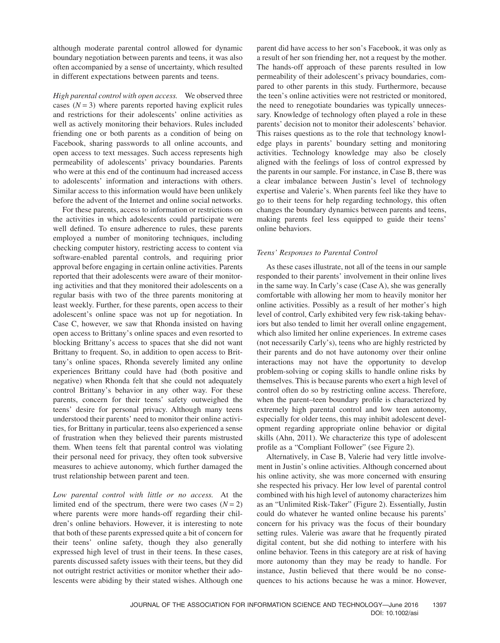although moderate parental control allowed for dynamic boundary negotiation between parents and teens, it was also often accompanied by a sense of uncertainty, which resulted in different expectations between parents and teens.

*High parental control with open access.* We observed three cases  $(N = 3)$  where parents reported having explicit rules and restrictions for their adolescents' online activities as well as actively monitoring their behaviors. Rules included friending one or both parents as a condition of being on Facebook, sharing passwords to all online accounts, and open access to text messages. Such access represents high permeability of adolescents' privacy boundaries. Parents who were at this end of the continuum had increased access to adolescents' information and interactions with others. Similar access to this information would have been unlikely before the advent of the Internet and online social networks.

For these parents, access to information or restrictions on the activities in which adolescents could participate were well defined. To ensure adherence to rules, these parents employed a number of monitoring techniques, including checking computer history, restricting access to content via software-enabled parental controls, and requiring prior approval before engaging in certain online activities. Parents reported that their adolescents were aware of their monitoring activities and that they monitored their adolescents on a regular basis with two of the three parents monitoring at least weekly. Further, for these parents, open access to their adolescent's online space was not up for negotiation. In Case C, however, we saw that Rhonda insisted on having open access to Brittany's online spaces and even resorted to blocking Brittany's access to spaces that she did not want Brittany to frequent. So, in addition to open access to Brittany's online spaces, Rhonda severely limited any online experiences Brittany could have had (both positive and negative) when Rhonda felt that she could not adequately control Brittany's behavior in any other way. For these parents, concern for their teens' safety outweighed the teens' desire for personal privacy. Although many teens understood their parents' need to monitor their online activities, for Brittany in particular, teens also experienced a sense of frustration when they believed their parents mistrusted them. When teens felt that parental control was violating their personal need for privacy, they often took subversive measures to achieve autonomy, which further damaged the trust relationship between parent and teen.

*Low parental control with little or no access.* At the limited end of the spectrum, there were two cases  $(N = 2)$ where parents were more hands-off regarding their children's online behaviors. However, it is interesting to note that both of these parents expressed quite a bit of concern for their teens' online safety, though they also generally expressed high level of trust in their teens. In these cases, parents discussed safety issues with their teens, but they did not outright restrict activities or monitor whether their adolescents were abiding by their stated wishes. Although one

parent did have access to her son's Facebook, it was only as a result of her son friending her, not a request by the mother. The hands-off approach of these parents resulted in low permeability of their adolescent's privacy boundaries, compared to other parents in this study. Furthermore, because the teen's online activities were not restricted or monitored, the need to renegotiate boundaries was typically unnecessary. Knowledge of technology often played a role in these parents' decision not to monitor their adolescents' behavior. This raises questions as to the role that technology knowledge plays in parents' boundary setting and monitoring activities. Technology knowledge may also be closely aligned with the feelings of loss of control expressed by the parents in our sample. For instance, in Case B, there was a clear imbalance between Justin's level of technology expertise and Valerie's. When parents feel like they have to go to their teens for help regarding technology, this often changes the boundary dynamics between parents and teens, making parents feel less equipped to guide their teens' online behaviors.

## *Teens' Responses to Parental Control*

As these cases illustrate, not all of the teens in our sample responded to their parents' involvement in their online lives in the same way. In Carly's case (Case A), she was generally comfortable with allowing her mom to heavily monitor her online activities. Possibly as a result of her mother's high level of control, Carly exhibited very few risk-taking behaviors but also tended to limit her overall online engagement, which also limited her online experiences. In extreme cases (not necessarily Carly's), teens who are highly restricted by their parents and do not have autonomy over their online interactions may not have the opportunity to develop problem-solving or coping skills to handle online risks by themselves. This is because parents who exert a high level of control often do so by restricting online access. Therefore, when the parent–teen boundary profile is characterized by extremely high parental control and low teen autonomy, especially for older teens, this may inhibit adolescent development regarding appropriate online behavior or digital skills (Ahn, 2011). We characterize this type of adolescent profile as a "Compliant Follower" (see Figure 2).

Alternatively, in Case B, Valerie had very little involvement in Justin's online activities. Although concerned about his online activity, she was more concerned with ensuring she respected his privacy. Her low level of parental control combined with his high level of autonomy characterizes him as an "Unlimited Risk-Taker" (Figure 2). Essentially, Justin could do whatever he wanted online because his parents' concern for his privacy was the focus of their boundary setting rules. Valerie was aware that he frequently pirated digital content, but she did nothing to interfere with his online behavior. Teens in this category are at risk of having more autonomy than they may be ready to handle. For instance, Justin believed that there would be no consequences to his actions because he was a minor. However,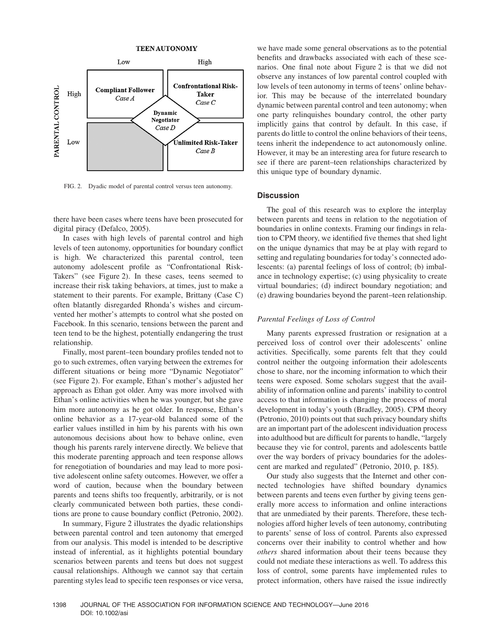

FIG. 2. Dyadic model of parental control versus teen autonomy.

there have been cases where teens have been prosecuted for digital piracy (Defalco, 2005).

In cases with high levels of parental control and high levels of teen autonomy, opportunities for boundary conflict is high. We characterized this parental control, teen autonomy adolescent profile as "Confrontational Risk-Takers" (see Figure 2). In these cases, teens seemed to increase their risk taking behaviors, at times, just to make a statement to their parents. For example, Brittany (Case C) often blatantly disregarded Rhonda's wishes and circumvented her mother's attempts to control what she posted on Facebook. In this scenario, tensions between the parent and teen tend to be the highest, potentially endangering the trust relationship.

Finally, most parent–teen boundary profiles tended not to go to such extremes, often varying between the extremes for different situations or being more "Dynamic Negotiator" (see Figure 2). For example, Ethan's mother's adjusted her approach as Ethan got older. Amy was more involved with Ethan's online activities when he was younger, but she gave him more autonomy as he got older. In response, Ethan's online behavior as a 17-year-old balanced some of the earlier values instilled in him by his parents with his own autonomous decisions about how to behave online, even though his parents rarely intervene directly. We believe that this moderate parenting approach and teen response allows for renegotiation of boundaries and may lead to more positive adolescent online safety outcomes. However, we offer a word of caution, because when the boundary between parents and teens shifts too frequently, arbitrarily, or is not clearly communicated between both parties, these conditions are prone to cause boundary conflict (Petronio, 2002).

In summary, Figure 2 illustrates the dyadic relationships between parental control and teen autonomy that emerged from our analysis. This model is intended to be descriptive instead of inferential, as it highlights potential boundary scenarios between parents and teens but does not suggest causal relationships. Although we cannot say that certain parenting styles lead to specific teen responses or vice versa, we have made some general observations as to the potential benefits and drawbacks associated with each of these scenarios. One final note about Figure 2 is that we did not observe any instances of low parental control coupled with low levels of teen autonomy in terms of teens' online behavior. This may be because of the interrelated boundary dynamic between parental control and teen autonomy; when one party relinquishes boundary control, the other party implicitly gains that control by default. In this case, if parents do little to control the online behaviors of their teens, teens inherit the independence to act autonomously online. However, it may be an interesting area for future research to see if there are parent–teen relationships characterized by this unique type of boundary dynamic.

## **Discussion**

The goal of this research was to explore the interplay between parents and teens in relation to the negotiation of boundaries in online contexts. Framing our findings in relation to CPM theory, we identified five themes that shed light on the unique dynamics that may be at play with regard to setting and regulating boundaries for today's connected adolescents: (a) parental feelings of loss of control; (b) imbalance in technology expertise; (c) using physicality to create virtual boundaries; (d) indirect boundary negotiation; and (e) drawing boundaries beyond the parent–teen relationship.

#### *Parental Feelings of Loss of Control*

Many parents expressed frustration or resignation at a perceived loss of control over their adolescents' online activities. Specifically, some parents felt that they could control neither the outgoing information their adolescents chose to share, nor the incoming information to which their teens were exposed. Some scholars suggest that the availability of information online and parents' inability to control access to that information is changing the process of moral development in today's youth (Bradley, 2005). CPM theory (Petronio, 2010) points out that such privacy boundary shifts are an important part of the adolescent individuation process into adulthood but are difficult for parents to handle, "largely because they vie for control, parents and adolescents battle over the way borders of privacy boundaries for the adolescent are marked and regulated" (Petronio, 2010, p. 185).

Our study also suggests that the Internet and other connected technologies have shifted boundary dynamics between parents and teens even further by giving teens generally more access to information and online interactions that are unmediated by their parents. Therefore, these technologies afford higher levels of teen autonomy, contributing to parents' sense of loss of control. Parents also expressed concerns over their inability to control whether and how *others* shared information about their teens because they could not mediate these interactions as well. To address this loss of control, some parents have implemented rules to protect information, others have raised the issue indirectly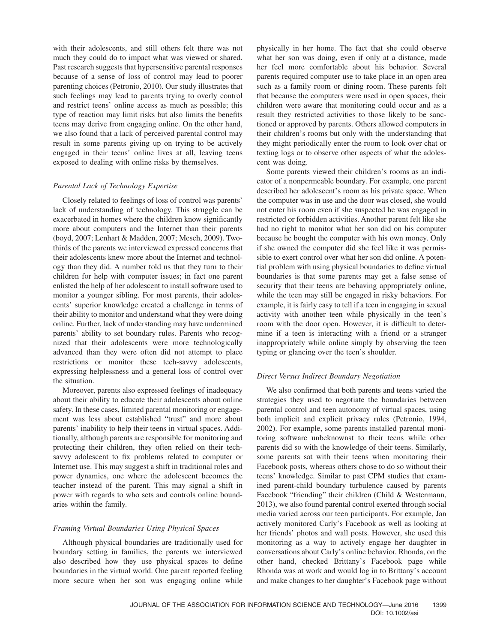with their adolescents, and still others felt there was not much they could do to impact what was viewed or shared. Past research suggests that hypersensitive parental responses because of a sense of loss of control may lead to poorer parenting choices (Petronio, 2010). Our study illustrates that such feelings may lead to parents trying to overly control and restrict teens' online access as much as possible; this type of reaction may limit risks but also limits the benefits teens may derive from engaging online. On the other hand, we also found that a lack of perceived parental control may result in some parents giving up on trying to be actively engaged in their teens' online lives at all, leaving teens exposed to dealing with online risks by themselves.

## *Parental Lack of Technology Expertise*

Closely related to feelings of loss of control was parents' lack of understanding of technology. This struggle can be exacerbated in homes where the children know significantly more about computers and the Internet than their parents (boyd, 2007; Lenhart & Madden, 2007; Mesch, 2009). Twothirds of the parents we interviewed expressed concerns that their adolescents knew more about the Internet and technology than they did. A number told us that they turn to their children for help with computer issues; in fact one parent enlisted the help of her adolescent to install software used to monitor a younger sibling. For most parents, their adolescents' superior knowledge created a challenge in terms of their ability to monitor and understand what they were doing online. Further, lack of understanding may have undermined parents' ability to set boundary rules. Parents who recognized that their adolescents were more technologically advanced than they were often did not attempt to place restrictions or monitor these tech-savvy adolescents, expressing helplessness and a general loss of control over the situation.

Moreover, parents also expressed feelings of inadequacy about their ability to educate their adolescents about online safety. In these cases, limited parental monitoring or engagement was less about established "trust" and more about parents' inability to help their teens in virtual spaces. Additionally, although parents are responsible for monitoring and protecting their children, they often relied on their techsavvy adolescent to fix problems related to computer or Internet use. This may suggest a shift in traditional roles and power dynamics, one where the adolescent becomes the teacher instead of the parent. This may signal a shift in power with regards to who sets and controls online boundaries within the family.

## *Framing Virtual Boundaries Using Physical Spaces*

Although physical boundaries are traditionally used for boundary setting in families, the parents we interviewed also described how they use physical spaces to define boundaries in the virtual world. One parent reported feeling more secure when her son was engaging online while physically in her home. The fact that she could observe what her son was doing, even if only at a distance, made her feel more comfortable about his behavior. Several parents required computer use to take place in an open area such as a family room or dining room. These parents felt that because the computers were used in open spaces, their children were aware that monitoring could occur and as a result they restricted activities to those likely to be sanctioned or approved by parents. Others allowed computers in their children's rooms but only with the understanding that they might periodically enter the room to look over chat or texting logs or to observe other aspects of what the adolescent was doing.

Some parents viewed their children's rooms as an indicator of a nonpermeable boundary. For example, one parent described her adolescent's room as his private space. When the computer was in use and the door was closed, she would not enter his room even if she suspected he was engaged in restricted or forbidden activities. Another parent felt like she had no right to monitor what her son did on his computer because he bought the computer with his own money. Only if she owned the computer did she feel like it was permissible to exert control over what her son did online. A potential problem with using physical boundaries to define virtual boundaries is that some parents may get a false sense of security that their teens are behaving appropriately online, while the teen may still be engaged in risky behaviors. For example, it is fairly easy to tell if a teen in engaging in sexual activity with another teen while physically in the teen's room with the door open. However, it is difficult to determine if a teen is interacting with a friend or a stranger inappropriately while online simply by observing the teen typing or glancing over the teen's shoulder.

## *Direct Versus Indirect Boundary Negotiation*

We also confirmed that both parents and teens varied the strategies they used to negotiate the boundaries between parental control and teen autonomy of virtual spaces, using both implicit and explicit privacy rules (Petronio, 1994, 2002). For example, some parents installed parental monitoring software unbeknownst to their teens while other parents did so with the knowledge of their teens. Similarly, some parents sat with their teens when monitoring their Facebook posts, whereas others chose to do so without their teens' knowledge. Similar to past CPM studies that examined parent-child boundary turbulence caused by parents Facebook "friending" their children (Child & Westermann, 2013), we also found parental control exerted through social media varied across our teen participants. For example, Jan actively monitored Carly's Facebook as well as looking at her friends' photos and wall posts. However, she used this monitoring as a way to actively engage her daughter in conversations about Carly's online behavior. Rhonda, on the other hand, checked Brittany's Facebook page while Rhonda was at work and would log in to Brittany's account and make changes to her daughter's Facebook page without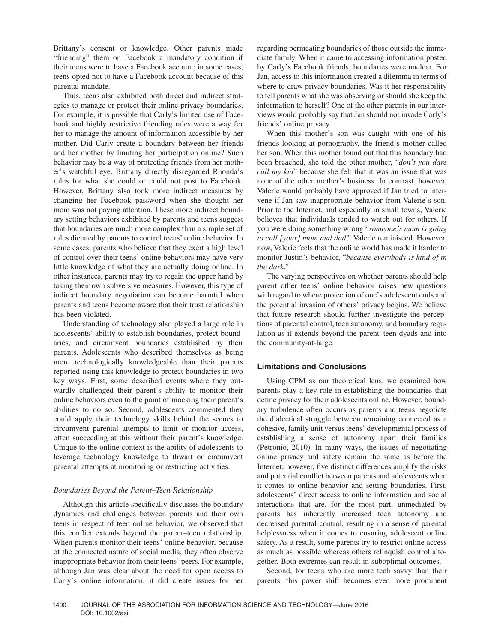Brittany's consent or knowledge. Other parents made "friending" them on Facebook a mandatory condition if their teens were to have a Facebook account; in some cases, teens opted not to have a Facebook account because of this parental mandate.

Thus, teens also exhibited both direct and indirect strategies to manage or protect their online privacy boundaries. For example, it is possible that Carly's limited use of Facebook and highly restrictive friending rules were a way for her to manage the amount of information accessible by her mother. Did Carly create a boundary between her friends and her mother by limiting her participation online? Such behavior may be a way of protecting friends from her mother's watchful eye. Brittany directly disregarded Rhonda's rules for what she could or could not post to Facebook. However, Brittany also took more indirect measures by changing her Facebook password when she thought her mom was not paying attention. These more indirect boundary setting behaviors exhibited by parents and teens suggest that boundaries are much more complex than a simple set of rules dictated by parents to control teens' online behavior. In some cases, parents who believe that they exert a high level of control over their teens' online behaviors may have very little knowledge of what they are actually doing online. In other instances, parents may try to regain the upper hand by taking their own subversive measures. However, this type of indirect boundary negotiation can become harmful when parents and teens become aware that their trust relationship has been violated.

Understanding of technology also played a large role in adolescents' ability to establish boundaries, protect boundaries, and circumvent boundaries established by their parents. Adolescents who described themselves as being more technologically knowledgeable than their parents reported using this knowledge to protect boundaries in two key ways. First, some described events where they outwardly challenged their parent's ability to monitor their online behaviors even to the point of mocking their parent's abilities to do so. Second, adolescents commented they could apply their technology skills behind the scenes to circumvent parental attempts to limit or monitor access, often succeeding at this without their parent's knowledge. Unique to the online context is the ability of adolescents to leverage technology knowledge to thwart or circumvent parental attempts at monitoring or restricting activities.

## *Boundaries Beyond the Parent–Teen Relationship*

Although this article specifically discusses the boundary dynamics and challenges between parents and their own teens in respect of teen online behavior, we observed that this conflict extends beyond the parent–teen relationship. When parents monitor their teens' online behavior, because of the connected nature of social media, they often observe inappropriate behavior from their teens' peers. For example, although Jan was clear about the need for open access to Carly's online information, it did create issues for her regarding permeating boundaries of those outside the immediate family. When it came to accessing information posted by Carly's Facebook friends, boundaries were unclear. For Jan, access to this information created a dilemma in terms of where to draw privacy boundaries. Was it her responsibility to tell parents what she was observing or should she keep the information to herself? One of the other parents in our interviews would probably say that Jan should not invade Carly's friends' online privacy.

When this mother's son was caught with one of his friends looking at pornography, the friend's mother called her son. When this mother found out that this boundary had been breached, she told the other mother, "*don't you dare call my kid*" because she felt that it was an issue that was none of the other mother's business. In contrast, however, Valerie would probably have approved if Jan tried to intervene if Jan saw inappropriate behavior from Valerie's son. Prior to the Internet, and especially in small towns, Valerie believes that individuals tended to watch out for others. If you were doing something wrong "*someone's mom is going to call [your] mom and dad*," Valerie reminisced. However, now, Valerie feels that the online world has made it harder to monitor Justin's behavior, "*because everybody is kind of in the dark*."

The varying perspectives on whether parents should help parent other teens' online behavior raises new questions with regard to where protection of one's adolescent ends and the potential invasion of others' privacy begins. We believe that future research should further investigate the perceptions of parental control, teen autonomy, and boundary regulation as it extends beyond the parent–teen dyads and into the community-at-large.

## **Limitations and Conclusions**

Using CPM as our theoretical lens, we examined how parents play a key role in establishing the boundaries that define privacy for their adolescents online. However, boundary turbulence often occurs as parents and teens negotiate the dialectical struggle between remaining connected as a cohesive, family unit versus teens' developmental process of establishing a sense of autonomy apart their families (Petronio, 2010). In many ways, the issues of negotiating online privacy and safety remain the same as before the Internet; however, five distinct differences amplify the risks and potential conflict between parents and adolescents when it comes to online behavior and setting boundaries. First, adolescents' direct access to online information and social interactions that are, for the most part, unmediated by parents has inherently increased teen autonomy and decreased parental control, resulting in a sense of parental helplessness when it comes to ensuring adolescent online safety. As a result, some parents try to restrict online access as much as possible whereas others relinquish control altogether. Both extremes can result in suboptimal outcomes.

Second, for teens who are more tech savvy than their parents, this power shift becomes even more prominent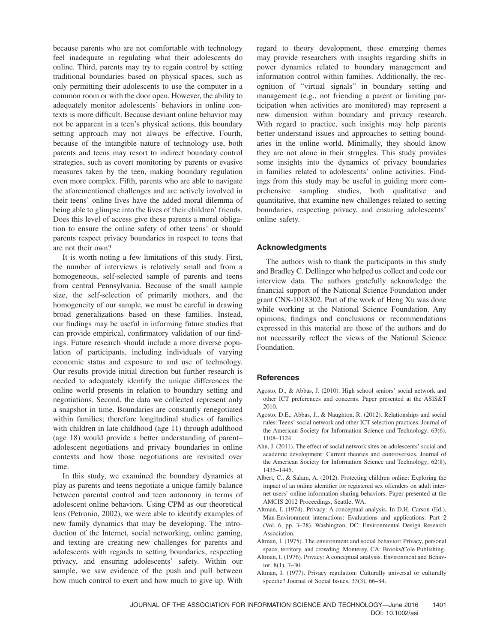because parents who are not comfortable with technology feel inadequate in regulating what their adolescents do online. Third, parents may try to regain control by setting traditional boundaries based on physical spaces, such as only permitting their adolescents to use the computer in a common room or with the door open. However, the ability to adequately monitor adolescents' behaviors in online contexts is more difficult. Because deviant online behavior may not be apparent in a teen's physical actions, this boundary setting approach may not always be effective. Fourth, because of the intangible nature of technology use, both parents and teens may resort to indirect boundary control strategies, such as covert monitoring by parents or evasive measures taken by the teen, making boundary regulation even more complex. Fifth, parents who are able to navigate the aforementioned challenges and are actively involved in their teens' online lives have the added moral dilemma of being able to glimpse into the lives of their children' friends. Does this level of access give these parents a moral obligation to ensure the online safety of other teens' or should parents respect privacy boundaries in respect to teens that are not their own?

It is worth noting a few limitations of this study. First, the number of interviews is relatively small and from a homogeneous, self-selected sample of parents and teens from central Pennsylvania. Because of the small sample size, the self-selection of primarily mothers, and the homogeneity of our sample, we must be careful in drawing broad generalizations based on these families. Instead, our findings may be useful in informing future studies that can provide empirical, confirmatory validation of our findings. Future research should include a more diverse population of participants, including individuals of varying economic status and exposure to and use of technology. Our results provide initial direction but further research is needed to adequately identify the unique differences the online world presents in relation to boundary setting and negotiations. Second, the data we collected represent only a snapshot in time. Boundaries are constantly renegotiated within families; therefore longitudinal studies of families with children in late childhood (age 11) through adulthood (age 18) would provide a better understanding of parent– adolescent negotiations and privacy boundaries in online contexts and how those negotiations are revisited over time.

In this study, we examined the boundary dynamics at play as parents and teens negotiate a unique family balance between parental control and teen autonomy in terms of adolescent online behaviors. Using CPM as our theoretical lens (Petronio, 2002), we were able to identify examples of new family dynamics that may be developing. The introduction of the Internet, social networking, online gaming, and texting are creating new challenges for parents and adolescents with regards to setting boundaries, respecting privacy, and ensuring adolescents' safety. Within our sample, we saw evidence of the push and pull between how much control to exert and how much to give up. With

regard to theory development, these emerging themes may provide researchers with insights regarding shifts in power dynamics related to boundary management and information control within families. Additionally, the recognition of "virtual signals" in boundary setting and management (e.g., not friending a parent or limiting participation when activities are monitored) may represent a new dimension within boundary and privacy research. With regard to practice, such insights may help parents better understand issues and approaches to setting boundaries in the online world. Minimally, they should know they are not alone in their struggles. This study provides some insights into the dynamics of privacy boundaries in families related to adolescents' online activities. Findings from this study may be useful in guiding more comprehensive sampling studies, both qualitative and quantitative, that examine new challenges related to setting boundaries, respecting privacy, and ensuring adolescents' online safety.

## **Acknowledgments**

The authors wish to thank the participants in this study and Bradley C. Dellinger who helped us collect and code our interview data. The authors gratefully acknowledge the financial support of the National Science Foundation under grant CNS-1018302. Part of the work of Heng Xu was done while working at the National Science Foundation. Any opinions, findings and conclusions or recommendations expressed in this material are those of the authors and do not necessarily reflect the views of the National Science Foundation.

## **References**

- Agosto, D., & Abbas, J. (2010). High school seniors' social network and other ICT preferences and concerns. Paper presented at the ASIS&T 2010.
- Agosto, D.E., Abbas, J., & Naughton, R. (2012). Relationships and social rules: Teens' social network and other ICT selection practices. Journal of the American Society for Information Science and Technology, 63(6), 1108–1124.
- Ahn, J. (2011). The effect of social network sites on adolescents' social and academic development: Current theories and controversies. Journal of the American Society for Information Science and Technology, 62(8), 1435–1445.
- Albert, C., & Salam, A. (2012). Protecting children online: Exploring the impact of an online identifier for registered sex offenders on adult internet users' online information sharing behaviors. Paper presented at the AMCIS 2012 Proceedings, Seattle, WA.
- Altman, I. (1974). Privacy: A conceptual analysis. In D.H. Carson (Ed.), Man-Environment interactions: Evaluations and applications: Part 2 (Vol. 6, pp. 3–28). Washington, DC: Environmental Design Research Association.
- Altman, I. (1975). The environment and social behavior: Privacy, personal space, territory, and crowding. Monterey, CA: Brooks/Cole Publishing.
- Altman, I. (1976). Privacy: A conceptual analysis. Environment and Behavior, 8(1), 7–30.
- Altman, I. (1977). Privacy regulation: Culturally universal or culturally specific? Journal of Social Issues, 33(3), 66–84.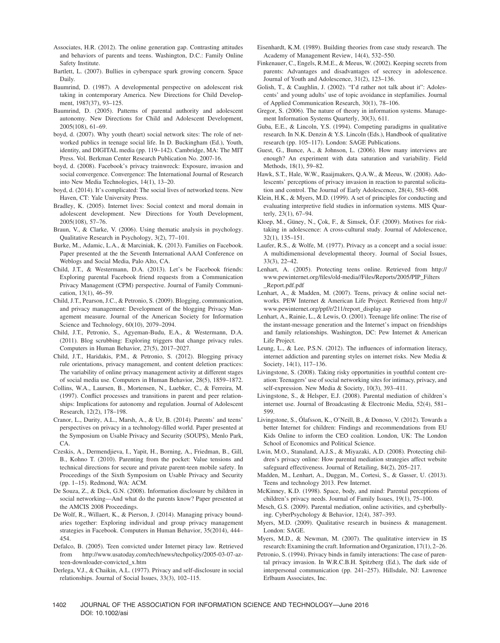- Associates, H.R. (2012). The online generation gap. Contrasting attitudes and behaviors of parents and teens. Washington, D.C.: Family Online Safety Institute.
- Bartlett, L. (2007). Bullies in cyberspace spark growing concern. Space Daily.
- Baumrind, D. (1987). A developmental perspective on adolescent risk taking in contemporary America. New Directions for Child Development, 1987(37), 93–125.
- Baumrind, D. (2005). Patterns of parental authority and adolescent autonomy. New Directions for Child and Adolescent Development, 2005(108), 61–69.
- boyd, d. (2007). Why youth (heart) social network sites: The role of networked publics in teenage social life. In D. Buckingham (Ed.), Youth, identity, and DIGITAL media (pp. 119–142). Cambridge, MA: The MIT Press. Vol. Berkman Center Research Publication No. 2007-16.
- boyd, d. (2008). Facebook's privacy trainwreck: Exposure, invasion and social convergence. Convergence: The International Journal of Research into New Media Technologies, 14(1), 13–20.
- boyd, d. (2014). It's complicated: The social lives of networked teens. New Haven, CT: Yale University Press.
- Bradley, K. (2005). Internet lives: Social context and moral domain in adolescent development. New Directions for Youth Development, 2005(108), 57–76.
- Braun, V., & Clarke, V. (2006). Using thematic analysis in psychology. Qualitative Research in Psychology, 3(2), 77–101.
- Burke, M., Adamic, L.A., & Marciniak, K. (2013). Families on Facebook. Paper presented at the the Seventh International AAAI Conference on Weblogs and Social Media, Palo Alto, CA.
- Child, J.T., & Westermann, D.A. (2013). Let's be Facebook friends: Exploring parental Facebook friend requests from a Communication Privacy Management (CPM) perspective. Journal of Family Communication, 13(1), 46–59.
- Child, J.T., Pearson, J.C., & Petronio, S. (2009). Blogging, communication, and privacy management: Development of the blogging Privacy Management measure. Journal of the American Society for Information Science and Technology, 60(10), 2079–2094.
- Child, J.T., Petronio, S., Agyeman-Budu, E.A., & Westermann, D.A. (2011). Blog scrubbing: Exploring triggers that change privacy rules. Computers in Human Behavior, 27(5), 2017–2027.
- Child, J.T., Haridakis, P.M., & Petronio, S. (2012). Blogging privacy rule orientations, privacy management, and content deletion practices: The variability of online privacy management activity at different stages of social media use. Computers in Human Behavior, 28(5), 1859–1872.
- Collins, W.A., Laursen, B., Mortensen, N., Luebker, C., & Ferreira, M. (1997). Conflict processes and transitions in parent and peer relationships: Implications for autonomy and regulation. Journal of Adolescent Research, 12(2), 178–198.
- Cranor, L., Durity, A.L., Marsh, A., & Ur, B. (2014). Parents' and teens' perspectives on privacy in a technology-filled world. Paper presented at the Symposium on Usable Privacy and Security (SOUPS), Menlo Park, CA.
- Czeskis, A., Dermendjieva, I., Yapit, H., Borning, A., Friedman, B., Gill, B., Kohno T. (2010). Parenting from the pocket: Value tensions and technical directions for secure and private parent-teen mobile safety. In Proceedings of the Sixth Symposium on Usable Privacy and Security (pp. 1–15). Redmond, WA: ACM.
- De Souza, Z., & Dick, G.N. (2008). Information disclosure by children in social networking—And what do the parents know? Paper presented at the AMCIS 2008 Proceedings.
- De Wolf, R., Willaert, K., & Pierson, J. (2014). Managing privacy boundaries together: Exploring individual and group privacy management strategies in Facebook. Computers in Human Behavior, 35(2014), 444– 454.
- Defalco, B. (2005). Teen convicted under Internet piracy law. Retrieved from http://www.usatoday.com/tech/news/techpolicy/2005-03-07-azteen-downloader-convicted\_x.htm
- Derlega, V.J., & Chaikin, A.L. (1977). Privacy and self-disclosure in social relationships. Journal of Social Issues, 33(3), 102–115.
- Eisenhardt, K.M. (1989). Building theories from case study research. The Academy of Management Review, 14(4), 532–550.
- Finkenauer, C., Engels, R.M.E., & Meeus, W. (2002). Keeping secrets from parents: Advantages and disadvantages of secrecy in adolescence. Journal of Youth and Adolescence, 31(2), 123–136.
- Golish, T., & Caughlin, J. (2002). "I'd rather not talk about it": Adolescents' and young adults' use of topic avoidance in stepfamilies. Journal of Applied Communication Research, 30(1), 78–106.
- Gregor, S. (2006). The nature of theory in information systems. Management Information Systems Quarterly, 30(3), 611.
- Guba, E.E., & Lincoln, Y.S. (1994). Competing paradigms in qualitative research. In N.K. Denzin & Y.S. Lincoln (Eds.), Handbook of qualitative research (pp. 105–117). London: SAGE Publications.
- Guest, G., Bunce, A., & Johnson, L. (2006). How many interviews are enough? An experiment with data saturation and variability. Field Methods, 18(1), 59–82.
- Hawk, S.T., Hale, W.W., Raaijmakers, Q.A.W., & Meeus, W. (2008). Adolescents' perceptions of privacy invasion in reaction to parental solicitation and control. The Journal of Early Adolescence, 28(4), 583–608.
- Klein, H.K., & Myers, M.D. (1999). A set of principles for conducting and evaluating interpretive field studies in information systems. MIS Quarterly*,* 23(1), 67–94.
- Kloep, M., Güney, N., Çok, F., & Simsek, Ö.F. (2009). Motives for risktaking in adolescence: A cross-cultural study. Journal of Adolescence, 32(1), 135–151.
- Laufer, R.S., & Wolfe, M. (1977). Privacy as a concept and a social issue: A multidimensional developmental theory. Journal of Social Issues, 33(3), 22–42.
- Lenhart, A. (2005). Protecting teens online. Retrieved from http:// www.pewinternet.org/files/old-media//Files/Reports/2005/PIP\_Filters \_Report.pdf.pdf
- Lenhart, A., & Madden, M. (2007). Teens, privacy & online social networks. PEW Internet & American Life Project. Retrieved from http:// www.pewinternet.org/ppf/r/211/report\_display.asp
- Lenhart, A., Rainie, L., & Lewis, O. (2001). Teenage life online: The rise of the instant-message generation and the Internet's impact on friendships and family relationships. Washington, DC: Pew Internet & American Life Project.
- Leung, L., & Lee, P.S.N. (2012). The influences of information literacy, internet addiction and parenting styles on internet risks. New Media & Society, 14(1), 117–136.
- Livingstone, S. (2008). Taking risky opportunities in youthful content creation: Teenagers' use of social networking sites for intimacy, privacy, and self-expression. New Media & Society, 10(3), 393–411.
- Livingstone, S., & Helsper, E.J. (2008). Parental mediation of children's internet use. Journal of Broadcasting & Electronic Media, 52(4), 581– 599.
- Livingstone, S., Ólafsson, K., O'Neill, B., & Donoso, V. (2012). Towards a better Internet for children: Findings and recommendations from EU Kids Online to inform the CEO coalition. London, UK: The London School of Economics and Political Science.
- Lwin, M.O., Stanaland, A.J.S., & Miyazaki, A.D. (2008). Protecting children's privacy online: How parental mediation strategies affect website safeguard effectiveness. Journal of Retailing, 84(2), 205–217.
- Madden, M., Lenhart, A., Duggan, M., Cortesi, S., & Gasser, U. (2013). Teens and technology 2013. Pew Internet.
- McKinney, K.D. (1998). Space, body, and mind: Parental perceptions of children's privacy needs. Journal of Family Issues, 19(1), 75–100.
- Mesch, G.S. (2009). Parental mediation, online activities, and cyberbullying. CyberPsychology & Behavior, 12(4), 387–393.
- Myers, M.D. (2009). Qualitative research in business & management. London: SAGE.
- Myers, M.D., & Newman, M. (2007). The qualitative interview in IS research: Examining the craft. Information and Organization, 17(1), 2–26.
- Petronio, S. (1994). Privacy binds in family interactions: The case of parental privacy invasion. In W.R.C.B.H. Spitzberg (Ed.), The dark side of interpersonal communication (pp. 241–257). Hillsdale, NJ: Lawrence Erlbaum Associates, Inc.